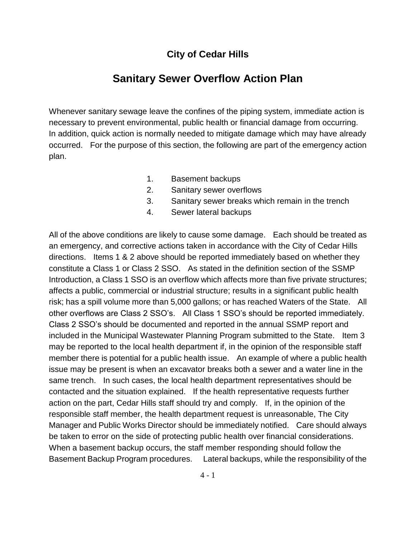## **City of Cedar Hills**

# **Sanitary Sewer Overflow Action Plan**

Whenever sanitary sewage leave the confines of the piping system, immediate action is necessary to prevent environmental, public health or financial damage from occurring. In addition, quick action is normally needed to mitigate damage which may have already occurred. For the purpose of this section, the following are part of the emergency action plan.

- 1. Basement backups
- 2. Sanitary sewer overflows
- 3. Sanitary sewer breaks which remain in the trench
- 4. Sewer lateral backups

All of the above conditions are likely to cause some damage. Each should be treated as an emergency, and corrective actions taken in accordance with the City of Cedar Hills directions. Items 1 & 2 above should be reported immediately based on whether they constitute a Class 1 or Class 2 SSO. As stated in the definition section of the SSMP Introduction, a Class 1 SSO is an overflow which affects more than five private structures; affects a public, commercial or industrial structure; results in a significant public health risk; has a spill volume more than 5,000 gallons; or has reached Waters of the State. All other overflows are Class 2 SSO's. All Class 1 SSO's should be reported immediately. Class 2 SSO's should be documented and reported in the annual SSMP report and included in the Municipal Wastewater Planning Program submitted to the State. Item 3 may be reported to the local health department if, in the opinion of the responsible staff member there is potential for a public health issue. An example of where a public health issue may be present is when an excavator breaks both a sewer and a water line in the same trench. In such cases, the local health department representatives should be contacted and the situation explained. If the health representative requests further action on the part, Cedar Hills staff should try and comply. If, in the opinion of the responsible staff member, the health department request is unreasonable, The City Manager and Public Works Director should be immediately notified. Care should always be taken to error on the side of protecting public health over financial considerations. When a basement backup occurs, the staff member responding should follow the Basement Backup Program procedures. Lateral backups, while the responsibility of the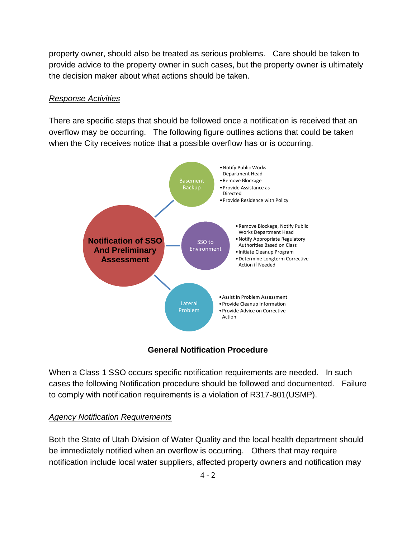property owner, should also be treated as serious problems. Care should be taken to provide advice to the property owner in such cases, but the property owner is ultimately the decision maker about what actions should be taken.

#### *Response Activities*

There are specific steps that should be followed once a notification is received that an overflow may be occurring. The following figure outlines actions that could be taken when the City receives notice that a possible overflow has or is occurring.



## **General Notification Procedure**

When a Class 1 SSO occurs specific notification requirements are needed. In such cases the following Notification procedure should be followed and documented. Failure to comply with notification requirements is a violation of R317-801(USMP).

## *Agency Notification Requirements*

Both the State of Utah Division of Water Quality and the local health department should be immediately notified when an overflow is occurring. Others that may require notification include local water suppliers, affected property owners and notification may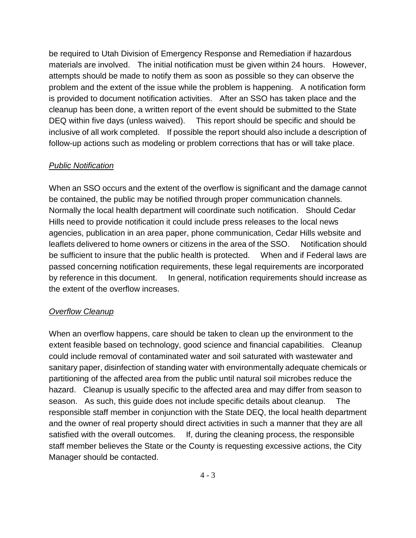be required to Utah Division of Emergency Response and Remediation if hazardous materials are involved. The initial notification must be given within 24 hours. However, attempts should be made to notify them as soon as possible so they can observe the problem and the extent of the issue while the problem is happening. A notification form is provided to document notification activities. After an SSO has taken place and the cleanup has been done, a written report of the event should be submitted to the State DEQ within five days (unless waived). This report should be specific and should be inclusive of all work completed. If possible the report should also include a description of follow-up actions such as modeling or problem corrections that has or will take place.

### *Public Notification*

When an SSO occurs and the extent of the overflow is significant and the damage cannot be contained, the public may be notified through proper communication channels. Normally the local health department will coordinate such notification. Should Cedar Hills need to provide notification it could include press releases to the local news agencies, publication in an area paper, phone communication, Cedar Hills website and leaflets delivered to home owners or citizens in the area of the SSO. Notification should be sufficient to insure that the public health is protected. When and if Federal laws are passed concerning notification requirements, these legal requirements are incorporated by reference in this document. In general, notification requirements should increase as the extent of the overflow increases.

#### *Overflow Cleanup*

When an overflow happens, care should be taken to clean up the environment to the extent feasible based on technology, good science and financial capabilities. Cleanup could include removal of contaminated water and soil saturated with wastewater and sanitary paper, disinfection of standing water with environmentally adequate chemicals or partitioning of the affected area from the public until natural soil microbes reduce the hazard. Cleanup is usually specific to the affected area and may differ from season to season. As such, this guide does not include specific details about cleanup. The responsible staff member in conjunction with the State DEQ, the local health department and the owner of real property should direct activities in such a manner that they are all satisfied with the overall outcomes. If, during the cleaning process, the responsible staff member believes the State or the County is requesting excessive actions, the City Manager should be contacted.